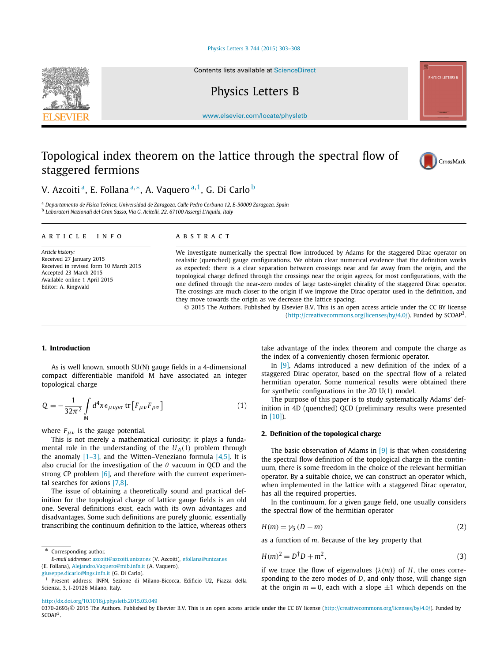#### [Physics Letters B 744 \(2015\) 303–308](http://dx.doi.org/10.1016/j.physletb.2015.03.049)

Contents lists available at [ScienceDirect](http://www.ScienceDirect.com/)

Physics Letters B

[www.elsevier.com/locate/physletb](http://www.elsevier.com/locate/physletb)

# Topological index theorem on the lattice through the spectral flow of staggered fermions



V. Azcoiti a, E. Follana <sup>a</sup>*,*∗, A. Vaquero <sup>a</sup>*,*1, G. Di Carlo <sup>b</sup>

<sup>a</sup> *Departamento de Física Teórica, Universidad de Zaragoza, Calle Pedro Cerbuna 12, E-50009 Zaragoza, Spain* <sup>b</sup> *Laboratori Nazionali del Gran Sasso, Via G. Acitelli, 22, 67100 Assergi L'Aquila, Italy*

#### A R T I C L E I N F O A B S T R A C T

*Article history:* Received 27 January 2015 Received in revised form 10 March 2015 Accepted 23 March 2015 Available online 1 April 2015 Editor: A. Ringwald

We investigate numerically the spectral flow introduced by Adams for the staggered Dirac operator on realistic (quenched) gauge configurations. We obtain clear numerical evidence that the definition works as expected: there is a clear separation between crossings near and far away from the origin, and the topological charge defined through the crossings near the origin agrees, for most configurations, with the one defined through the near-zero modes of large taste-singlet chirality of the staggered Dirac operator. The crossings are much closer to the origin if we improve the Dirac operator used in the definition, and they move towards the origin as we decrease the lattice spacing.

© 2015 The Authors. Published by Elsevier B.V. This is an open access article under the CC BY license [\(http://creativecommons.org/licenses/by/4.0/\)](http://creativecommons.org/licenses/by/4.0/). Funded by SCOAP3.

## **1. Introduction**

As is well known, smooth SU*(*N*)* gauge fields in a 4-dimensional compact differentiable manifold M have associated an integer topological charge

$$
Q = -\frac{1}{32\pi^2} \int_M d^4x \epsilon_{\mu\nu\rho\sigma} \operatorname{tr} \left[ F_{\mu\nu} F_{\rho\sigma} \right] \tag{1}
$$

where  $F_{\mu\nu}$  is the gauge potential.

This is not merely a mathematical curiosity; it plays a fundamental role in the understanding of the  $U_A(1)$  problem through the anomaly  $[1-3]$ , and the Witten–Veneziano formula  $[4,5]$ . It is also crucial for the investigation of the *θ* vacuum in QCD and the strong CP problem [\[6\],](#page-4-0) and therefore with the current experimental searches for axions [\[7,8\].](#page-4-0)

The issue of obtaining a theoretically sound and practical definition for the topological charge of lattice gauge fields is an old one. Several definitions exist, each with its own advantages and disadvantages. Some such definitions are purely gluonic, essentially transcribing the continuum definition to the lattice, whereas others

[giuseppe.dicarlo@lngs.infn.it](mailto:giuseppe.dicarlo@lngs.infn.it) (G. Di Carlo).

take advantage of the index theorem and compute the charge as the index of a conveniently chosen fermionic operator.

In  $[9]$ , Adams introduced a new definition of the index of a staggered Dirac operator, based on the spectral flow of a related hermitian operator. Some numerical results were obtained there for synthetic configurations in the *2D* U*(*1*)* model.

The purpose of this paper is to study systematically Adams' definition in 4D (quenched) QCD (preliminary results were presented in [\[10\]\)](#page-4-0).

# **2. Definition of the topological charge**

The basic observation of Adams in  $[9]$  is that when considering the spectral flow definition of the topological charge in the continuum, there is some freedom in the choice of the relevant hermitian operator. By a suitable choice, we can construct an operator which, when implemented in the lattice with a staggered Dirac operator, has all the required properties.

In the continuum, for a given gauge field, one usually considers the spectral flow of the hermitian operator

$$
H(m) = \gamma_5 \left( D - m \right) \tag{2}
$$

as a function of *m*. Because of the key property that

$$
H(m)^2 = D^{\dagger} D + m^2, \tag{3}
$$

if we trace the flow of eigenvalues  $\{\lambda(m)\}$  of *H*, the ones corresponding to the zero modes of *D*, and only those, will change sign at the origin  $m = 0$ , each with a slope  $\pm 1$  which depends on the

<http://dx.doi.org/10.1016/j.physletb.2015.03.049>

0370-2693/© 2015 The Authors. Published by Elsevier B.V. This is an open access article under the CC BY license [\(http://creativecommons.org/licenses/by/4.0/\)](http://creativecommons.org/licenses/by/4.0/). Funded by SCOAP<sup>3</sup>.

<span id="page-0-0"></span>

<sup>\*</sup> Corresponding author.

*E-mail addresses:* [azcoiti@azcoiti.unizar.es](mailto:azcoiti@azcoiti.unizar.es) (V. Azcoiti), [efollana@unizar.es](mailto:efollana@unizar.es) (E. Follana), [Alejandro.Vaquero@mib.infn.it](mailto:Alejandro.Vaquero@mib.infn.it) (A. Vaquero),

<sup>1</sup> Present address: INFN, Sezione di Milano-Bicocca, Edificio U2, Piazza della Scienza, 3, I-20126 Milano, Italy.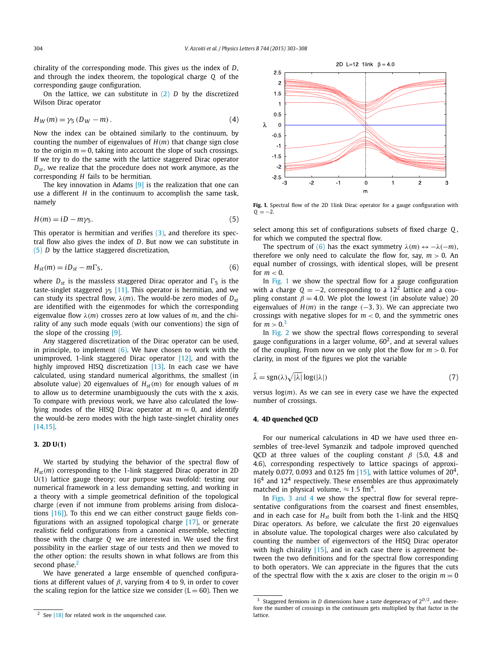chirality of the corresponding mode. This gives us the index of *D*, and through the index theorem, the topological charge *Q* of the corresponding gauge configuration.

On the lattice, we can substitute in [\(2\)](#page-0-0) *D* by the discretized Wilson Dirac operator

$$
H_W(m) = \gamma_5 \left( D_W - m \right). \tag{4}
$$

Now the index can be obtained similarly to the continuum, by counting the number of eigenvalues of *H(m)* that change sign close to the origin  $m = 0$ , taking into account the slope of such crossings. If we try to do the same with the lattice staggered Dirac operator *Dst*, we realize that the procedure does not work anymore, as the corresponding *H* fails to be hermitian.

The key innovation in Adams [\[9\]](#page-4-0) is the realization that one can use a different *H* in the continuum to accomplish the same task, namely

$$
H(m) = iD - m\gamma_5. \tag{5}
$$

This operator is hermitian and verifies [\(3\),](#page-0-0) and therefore its spectral flow also gives the index of *D*. But now we can substitute in (5) *D* by the lattice staggered discretization,

$$
H_{st}(m) = iD_{st} - m\Gamma_5,\tag{6}
$$

where *Dst* is the massless staggered Dirac operator and <sup>5</sup> is the taste-singlet staggered  $\gamma_5$  [\[11\].](#page-4-0) This operator is hermitian, and we can study its spectral flow,  $\lambda(m)$ . The would-be zero modes of  $D_{st}$ are identified with the eigenmodes for which the corresponding eigenvalue flow  $\lambda(m)$  crosses zero at low values of *m*, and the chirality of any such mode equals (with our conventions) the sign of the slope of the crossing [\[9\].](#page-4-0)

Any staggered discretization of the Dirac operator can be used, in principle, to implement  $(6)$ . We have chosen to work with the unimproved, 1-link staggered Dirac operator [\[12\],](#page-4-0) and with the highly improved HISQ discretization [\[13\].](#page-4-0) In each case we have calculated, using standard numerical algorithms, the smallest (in absolute value) 20 eigenvalues of *Hst(m)* for enough values of *m* to allow us to determine unambiguously the cuts with the x axis. To compare with previous work, we have also calculated the lowlying modes of the HISQ Dirac operator at  $m = 0$ , and identify the would-be zero modes with the high taste-singlet chirality ones [\[14,15\].](#page-4-0)

# **3. 2D U***(***1***)*

We started by studying the behavior of the spectral flow of *Hst(m)* corresponding to the 1-link staggered Dirac operator in 2D U*(*1*)* lattice gauge theory; our purpose was twofold: testing our numerical framework in a less demanding setting, and working in a theory with a simple geometrical definition of the topological charge (even if not immune from problems arising from dislocations [\[16\]\)](#page-4-0). To this end we can either construct gauge fields configurations with an assigned topological charge [\[17\],](#page-5-0) or generate realistic field configurations from a canonical ensemble, selecting those with the charge *Q* we are interested in. We used the first possibility in the earlier stage of our tests and then we moved to the other option: the results shown in what follows are from this second phase.<sup>2</sup>

We have generated a large ensemble of quenched configurations at different values of *β*, varying from 4 to 9, in order to cover the scaling region for the lattice size we consider ( $L = 60$ ). Then we



Fig. 1. Spectral flow of the 2D 1link Dirac operator for a gauge configuration with  $Q = -2$ .

select among this set of configurations subsets of fixed charge *Q* , for which we computed the spectral flow.

The spectrum of (6) has the exact symmetry  $\lambda(m) \leftrightarrow -\lambda(-m)$ , therefore we only need to calculate the flow for, say,  $m > 0$ . An equal number of crossings, with identical slopes, will be present for  $m < 0$ .

In Fig. 1 we show the spectral flow for a gauge configuration with a charge  $Q = -2$ , corresponding to a 12<sup>2</sup> lattice and a coupling constant  $\beta = 4.0$ . We plot the lowest (in absolute value) 20 eigenvalues of *H(m)* in the range *(*−3*,* 3*)*. We can appreciate two crossings with negative slopes for  $m < 0$ , and the symmetric ones for  $m > 0.3$ 

In [Fig. 2](#page-2-0) we show the spectral flows corresponding to several gauge configurations in a larger volume,  $60^2$ , and at several values of the coupling. From now on we only plot the flow for  $m > 0$ . For clarity, in most of the figures we plot the variable

$$
\tilde{\lambda} = \text{sgn}(\lambda) \sqrt{|\lambda|} \log(|\lambda|) \tag{7}
$$

versus log*(m)*. As we can see in every case we have the expected number of crossings.

# **4. 4D quenched QCD**

For our numerical calculations in 4D we have used three ensembles of tree-level Symanzik and tadpole improved quenched QCD at three values of the coupling constant *β* (5.0, 4.8 and 4.6), corresponding respectively to lattice spacings of approximately 0.077, 0.093 and 0.125 fm  $[15]$ , with lattice volumes of 20<sup>4</sup>,  $16<sup>4</sup>$  and  $12<sup>4</sup>$  respectively. These ensembles are thus approximately matched in physical volume,  $\approx 1.5$  fm<sup>4</sup>.

In [Figs. 3 and](#page-2-0) 4 we show the spectral flow for several representative configurations from the coarsest and finest ensembles, and in each case for *Hst* built from both the 1-link and the HISQ Dirac operators. As before, we calculate the first 20 eigenvalues in absolute value. The topological charges were also calculated by counting the number of eigenvectors of the HISQ Dirac operator with high chirality [\[15\],](#page-4-0) and in each case there is agreement between the two definitions and for the spectral flow corresponding to both operators. We can appreciate in the figures that the cuts of the spectral flow with the x axis are closer to the origin  $m = 0$ 

<sup>&</sup>lt;sup>2</sup> See  $[18]$  for related work in the unquenched case.

<sup>&</sup>lt;sup>3</sup> Staggered fermions in *D* dimensions have a taste degeneracy of  $2^{D/2}$ , and therefore the number of crossings in the continuum gets multiplied by that factor in the lattice.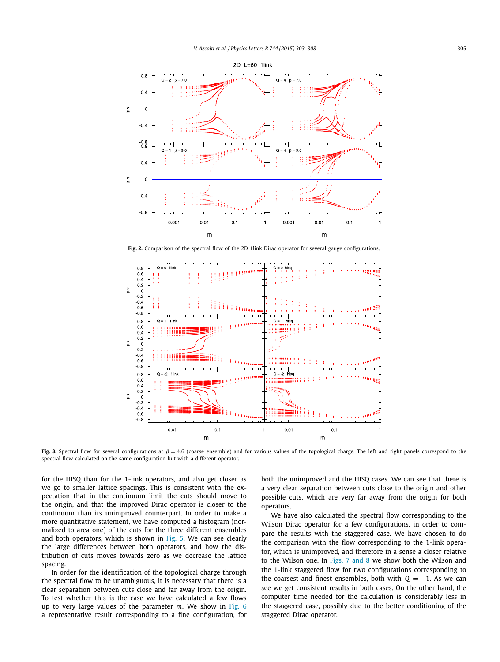

<span id="page-2-0"></span>

Fig. 2. Comparison of the spectral flow of the 2D 1link Dirac operator for several gauge configurations.



**Fig. 3.** Spectral flow for several configurations at *β* = 4*.*6 (coarse ensemble) and for various values of the topological charge. The left and right panels correspond to the spectral flow calculated on the same configuration but with a different operator.

for the HISQ than for the 1-link operators, and also get closer as we go to smaller lattice spacings. This is consistent with the expectation that in the continuum limit the cuts should move to the origin, and that the improved Dirac operator is closer to the continuum than its unimproved counterpart. In order to make a more quantitative statement, we have computed a histogram (normalized to area one) of the cuts for the three different ensembles and both operators, which is shown in [Fig. 5.](#page-3-0) We can see clearly the large differences between both operators, and how the distribution of cuts moves towards zero as we decrease the lattice spacing.

In order for the identification of the topological charge through the spectral flow to be unambiguous, it is necessary that there is a clear separation between cuts close and far away from the origin. To test whether this is the case we have calculated a few flows up to very large values of the parameter *m*. We show in [Fig. 6](#page-3-0) a representative result corresponding to a fine configuration, for both the unimproved and the HISQ cases. We can see that there is a very clear separation between cuts close to the origin and other possible cuts, which are very far away from the origin for both operators.

We have also calculated the spectral flow corresponding to the Wilson Dirac operator for a few configurations, in order to compare the results with the staggered case. We have chosen to do the comparison with the flow corresponding to the 1-link operator, which is unimproved, and therefore in a sense a closer relative to the Wilson one. In [Figs. 7 and](#page-4-0) 8 we show both the Wilson and the 1-link staggered flow for two configurations corresponding to the coarsest and finest ensembles, both with  $Q = -1$ . As we can see we get consistent results in both cases. On the other hand, the computer time needed for the calculation is considerably less in the staggered case, possibly due to the better conditioning of the staggered Dirac operator.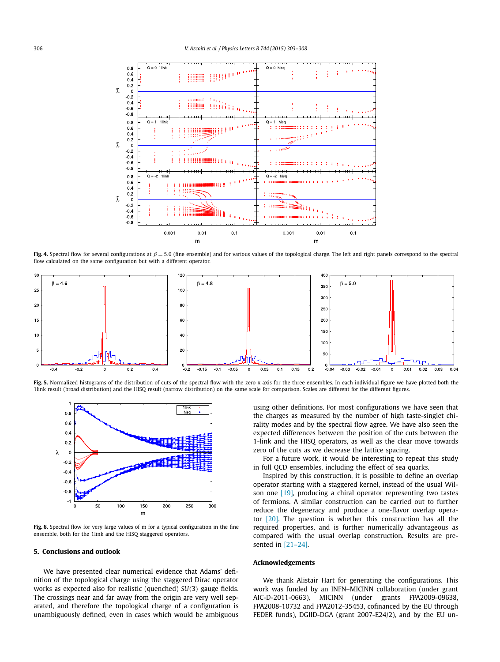<span id="page-3-0"></span>

**Fig. 4.** Spectral flow for several configurations at  $\beta = 5.0$  (fine ensemble) and for various values of the topological charge. The left and right panels correspond to the spectral flow calculated on the same configuration but with a different operator.



Fig. 5. Normalized histograms of the distribution of cuts of the spectral flow with the zero x axis for the three ensembles. In each individual figure we have plotted both the 1link result (broad distribution) and the HISQ result (narrow distribution) on the same scale for comparison. Scales are different for the different figures.



**Fig. 6.** Spectral flow for very large values of m for a typical configuration in the fine ensemble, both for the 1link and the HISQ staggered operators.

#### **5. Conclusions and outlook**

We have presented clear numerical evidence that Adams' definition of the topological charge using the staggered Dirac operator works as expected also for realistic (quenched) *SU(*3*)* gauge fields. The crossings near and far away from the origin are very well separated, and therefore the topological charge of a configuration is unambiguously defined, even in cases which would be ambiguous

using other definitions. For most configurations we have seen that the charges as measured by the number of high taste-singlet chirality modes and by the spectral flow agree. We have also seen the expected differences between the position of the cuts between the 1-link and the HISQ operators, as well as the clear move towards zero of the cuts as we decrease the lattice spacing.

For a future work, it would be interesting to repeat this study in full QCD ensembles, including the effect of sea quarks.

Inspired by this construction, it is possible to define an overlap operator starting with a staggered kernel, instead of the usual Wilson one [\[19\],](#page-5-0) producing a chiral operator representing two tastes of fermions. A similar construction can be carried out to further reduce the degeneracy and produce a one-flavor overlap operator [\[20\].](#page-5-0) The question is whether this construction has all the required properties, and is further numerically advantageous as compared with the usual overlap construction. Results are presented in [\[21–24\].](#page-5-0)

# **Acknowledgements**

We thank Alistair Hart for generating the configurations. This work was funded by an INFN–MICINN collaboration (under grant AIC-D-2011-0663), MICINN (under grants FPA2009-09638, FPA2008-10732 and FPA2012-35453, cofinanced by the EU through FEDER funds), DGIID-DGA (grant 2007-E24/2), and by the EU un-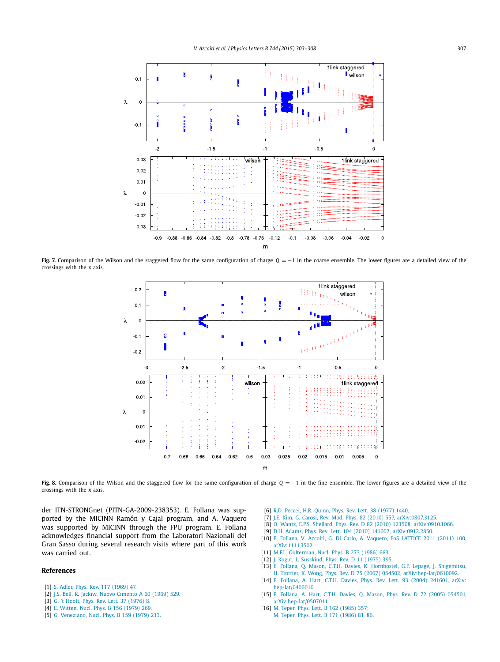<span id="page-4-0"></span>

**Fig. 7.** Comparison of the Wilson and the staggered flow for the same configuration of charge *Q* = −1 in the coarse ensemble. The lower figures are a detailed view of the crossings with the x axis.



**Fig. 8.** Comparison of the Wilson and the staggered flow for the same configuration of charge *Q* = −1 in the fine ensemble. The lower figures are a detailed view of the crossings with the x axis.

der ITN-STRONGnet (PITN-GA-2009-238353). E. Follana was supported by the MICINN Ramón y Cajal program, and A. Vaquero was supported by MICINN through the FPU program. E. Follana acknowledges financial support from the Laboratori Nazionali del Gran Sasso during several research visits where part of this work was carried out.

#### **References**

- [1] S. Adler, Phys. Rev. 117 [\(1969\)](http://refhub.elsevier.com/S0370-2693(15)00212-9/bib416E6F6D616C7931s1) 47.
- [2] J.S. Bell, R. Jackiw, Nuovo [Cimento](http://refhub.elsevier.com/S0370-2693(15)00212-9/bib416E6F6D616C7932s1) A 60 (1969) 529.
- [3] G. 't Hooft, Phys. Rev. Lett. 37 [\(1976\)](http://refhub.elsevier.com/S0370-2693(15)00212-9/bib54486F6F6674s1) 8.
- [4] E. [Witten,](http://refhub.elsevier.com/S0370-2693(15)00212-9/bib57697474656Es1) Nucl. Phys. B 156 (1979) 269.
- [5] G. [Veneziano,](http://refhub.elsevier.com/S0370-2693(15)00212-9/bib56656E657A69616E6Fs1) Nucl. Phys. B 159 (1979) 213.
- [6] R.D. [Peccei,](http://refhub.elsevier.com/S0370-2693(15)00212-9/bib4178696F6E31s1) H.R. Quinn, Phys. Rev. Lett. 38 (1977) 1440.
- [7] J.E. Kim, G. Carosi, Rev. Mod. Phys. 82 (2010) 557, [arXiv:0807.3125.](http://refhub.elsevier.com/S0370-2693(15)00212-9/bib4178696F6E32s1)
- [8] O. Wantz, E.P.S. Shellard, Phys. Rev. D 82 (2010) 123508, [arXiv:0910.1066.](http://refhub.elsevier.com/S0370-2693(15)00212-9/bib4178696F6E33s1)
- [9] D.H. Adams, Phys. Rev. Lett. 104 (2010) 141602, [arXiv:0912.2850.](http://refhub.elsevier.com/S0370-2693(15)00212-9/bib4164616D7331s1)
- [10] E. Follana, V. Azcoiti, G. Di Carlo, A. [Vaquero,](http://refhub.elsevier.com/S0370-2693(15)00212-9/bib6C6174743131s1) PoS LATTICE 2011 (2011) 100, [arXiv:1111.3502.](http://refhub.elsevier.com/S0370-2693(15)00212-9/bib6C6174743131s1)
- [11] M.F.L. [Golterman,](http://refhub.elsevier.com/S0370-2693(15)00212-9/bib476F6C7465726D616Es1) Nucl. Phys. B 273 (1986) 663.
- [12] J. Kogut, L. [Susskind,](http://refhub.elsevier.com/S0370-2693(15)00212-9/bib4B53s1) Phys. Rev. D 11 (1975) 395.
- [13] E. Follana, Q. Mason, C.T.H. Davies, K. Hornbostel, G.P. Lepage, J. [Shigemitsu,](http://refhub.elsevier.com/S0370-2693(15)00212-9/bib68697371s1) H. Trottier, K. Wong, Phys. Rev. D 75 (2007) 054502, [arXiv:hep-lat/0610092.](http://refhub.elsevier.com/S0370-2693(15)00212-9/bib68697371s1)
- [14] E. Follana, A. Hart, C.T.H. Davies, Phys. Rev. Lett. 93 (2004) [241601,](http://refhub.elsevier.com/S0370-2693(15)00212-9/bib746F7031s1) arXiv: [hep-lat/0406010.](http://refhub.elsevier.com/S0370-2693(15)00212-9/bib746F7031s1)
- [15] E. Follana, A. Hart, C.T.H. Davies, Q. Mason, Phys. Rev. D 72 (2005) [054501,](http://refhub.elsevier.com/S0370-2693(15)00212-9/bib746F7032s1) [arXiv:hep-lat/0507011.](http://refhub.elsevier.com/S0370-2693(15)00212-9/bib746F7032s1)
- [16] M. Teper, Phys. Lett. B 162 [\(1985\)](http://refhub.elsevier.com/S0370-2693(15)00212-9/bib5465706572s1) 357;
	- M. Teper, Phys. Lett. B 171 [\(1986\)](http://refhub.elsevier.com/S0370-2693(15)00212-9/bib5465706572s2) 81, 86.